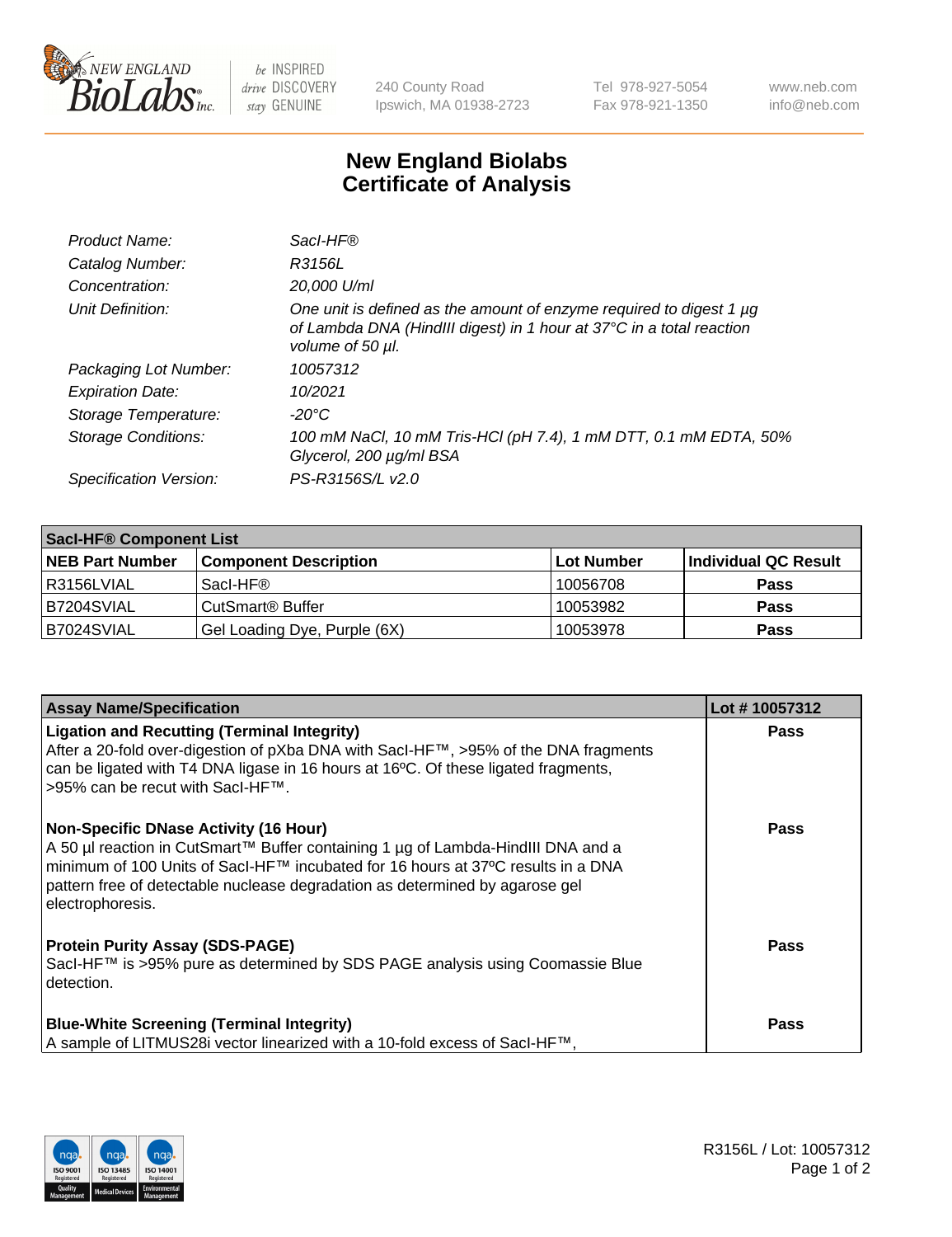

 $be$  INSPIRED drive DISCOVERY stay GENUINE

240 County Road Ipswich, MA 01938-2723 Tel 978-927-5054 Fax 978-921-1350 www.neb.com info@neb.com

## **New England Biolabs Certificate of Analysis**

| Product Name:           | Sacl-HF®                                                                                                                                                        |
|-------------------------|-----------------------------------------------------------------------------------------------------------------------------------------------------------------|
| Catalog Number:         | R3156L                                                                                                                                                          |
| Concentration:          | 20,000 U/ml                                                                                                                                                     |
| Unit Definition:        | One unit is defined as the amount of enzyme required to digest 1 µg<br>of Lambda DNA (HindIII digest) in 1 hour at 37°C in a total reaction<br>volume of 50 µl. |
| Packaging Lot Number:   | 10057312                                                                                                                                                        |
| <b>Expiration Date:</b> | 10/2021                                                                                                                                                         |
| Storage Temperature:    | $-20^{\circ}$ C                                                                                                                                                 |
| Storage Conditions:     | 100 mM NaCl, 10 mM Tris-HCl (pH 7.4), 1 mM DTT, 0.1 mM EDTA, 50%<br>Glycerol, 200 µg/ml BSA                                                                     |
| Specification Version:  | PS-R3156S/L v2.0                                                                                                                                                |

| <b>Saci-HF® Component List</b> |                              |             |                      |  |  |
|--------------------------------|------------------------------|-------------|----------------------|--|--|
| <b>NEB Part Number</b>         | <b>Component Description</b> | ∣Lot Number | Individual QC Result |  |  |
| l R3156LVIAL                   | Sacl-HF®                     | 10056708    | <b>Pass</b>          |  |  |
| B7204SVIAL                     | CutSmart <sup>®</sup> Buffer | 10053982    | <b>Pass</b>          |  |  |
| B7024SVIAL                     | Gel Loading Dye, Purple (6X) | 10053978    | <b>Pass</b>          |  |  |

| <b>Assay Name/Specification</b>                                                                                                                                                                                                                                                                                          | Lot #10057312 |
|--------------------------------------------------------------------------------------------------------------------------------------------------------------------------------------------------------------------------------------------------------------------------------------------------------------------------|---------------|
| <b>Ligation and Recutting (Terminal Integrity)</b><br>After a 20-fold over-digestion of pXba DNA with Sacl-HF™, >95% of the DNA fragments<br>can be ligated with T4 DNA ligase in 16 hours at 16°C. Of these ligated fragments,<br>>95% can be recut with SacI-HF™.                                                      | <b>Pass</b>   |
| <b>Non-Specific DNase Activity (16 Hour)</b><br>A 50 µl reaction in CutSmart™ Buffer containing 1 µg of Lambda-HindIII DNA and a<br>minimum of 100 Units of SacI-HF™ incubated for 16 hours at 37°C results in a DNA<br>pattern free of detectable nuclease degradation as determined by agarose gel<br>electrophoresis. | Pass          |
| <b>Protein Purity Assay (SDS-PAGE)</b><br>SacI-HF™ is >95% pure as determined by SDS PAGE analysis using Coomassie Blue<br>detection.                                                                                                                                                                                    | Pass          |
| <b>Blue-White Screening (Terminal Integrity)</b><br>A sample of LITMUS28i vector linearized with a 10-fold excess of SacI-HF™,                                                                                                                                                                                           | <b>Pass</b>   |